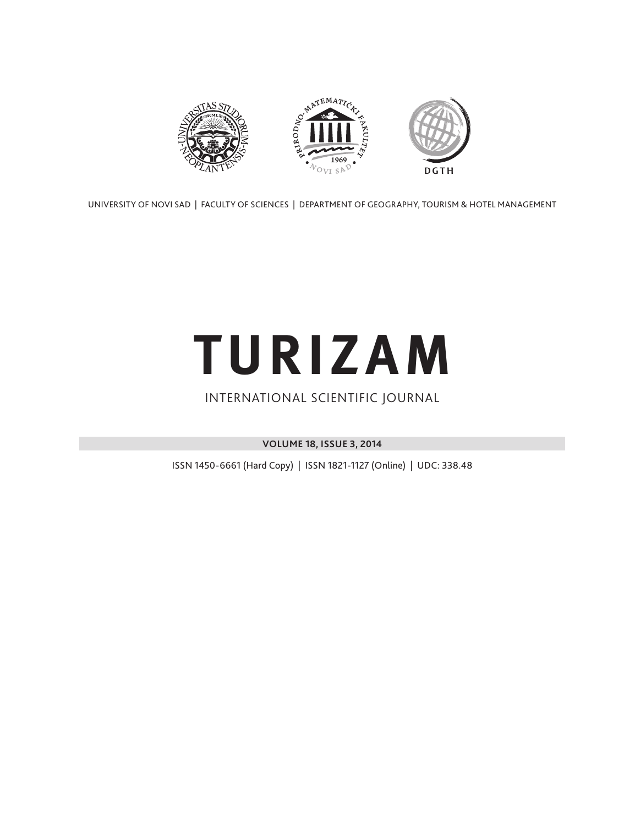

UNIVERSITY OF NOVI SAD | FACULTY OF SCIENCES | DEPARTMENT OF GEOGRAPHY, TOURISM & HOTEL MANAGEMENT

# **TURIZAM**

### INTERNATIONAL SCIENTIFIC JOURNAL

**VOLUME 18, ISSUE 3, 2014**

ISSN 1450-6661 (Hard Copy) | ISSN 1821-1127 (Online) | UDC: 338.48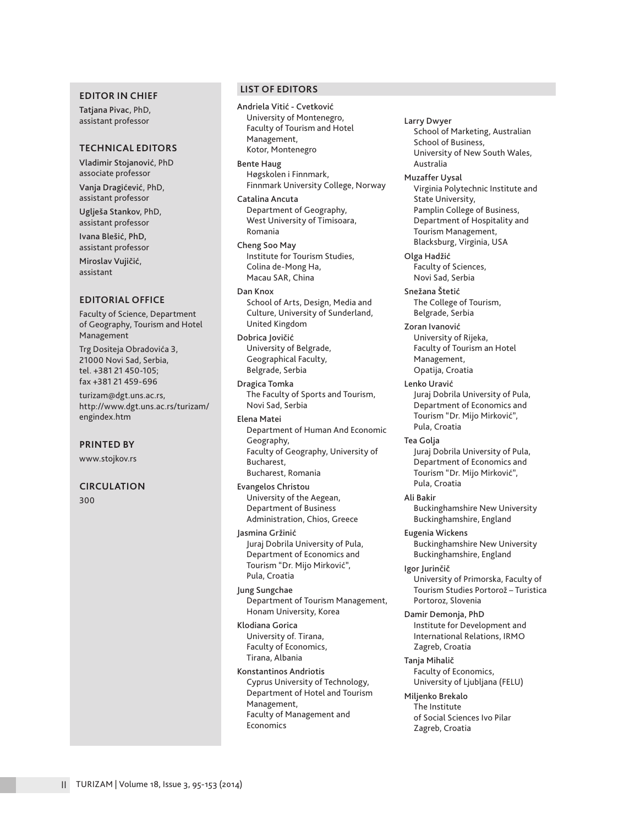#### **EDITOR IN CHIEF**

Tatjana Pivac, PhD, assistant professor

#### **TECHNICAL EDITORS**

Vladimir Stojanović, PhD associate professor

Vanja Dragićević, PhD, assistant professor Uglješa Stankov, PhD,

assistant professor

Ivana Blešić, PhD, assistant professor

Miroslav Vujičić, assistant

#### **EDITORIAL OFFICE**

Faculty of Science, Department of Geography, Tourism and Hotel Management

Trg Dositeja Obradovića 3, 21000 Novi Sad, Serbia, tel. +381 21 450-105; fax +381 21 459-696

turizam@dgt.uns.ac.rs, http://www.dgt.uns.ac.rs/turizam/ engindex.htm

**PRINTED BY**

www.stojkov.rs

#### **CIRCULATION**

300

#### **LIST OF EDITORS**

Andriela Vitić - Cvetković University of Montenegro, Faculty of Tourism and Hotel Management, Kotor, Montenegro

Bente Haug Høgskolen i Finnmark, Finnmark University College, Norway

Catalina Ancuta Department of Geography, West University of Timisoara, Romania

Cheng Soo May Institute for Tourism Studies, Colina de-Mong Ha, Macau SAR, China

Dan Knox School of Arts, Design, Media and Culture, University of Sunderland, United Kingdom

Dobrica Jovičić University of Belgrade, Geographical Faculty, Belgrade, Serbia

Dragica Tomka The Faculty of Sports and Tourism, Novi Sad, Serbia

Elena Matei Department of Human And Economic Geography, Faculty of Geography, University of Bucharest, Bucharest, Romania

Evangelos Christou University of the Aegean, Department of Business Administration, Chios, Greece

Jasmina Gržinić Juraj Dobrila University of Pula, Department of Economics and Tourism "Dr. Mijo Mirković", Pula, Croatia

Jung Sungchae Department of Tourism Management, Honam University, Korea

Klodiana Gorica University of. Tirana, Faculty of Economics, Tirana, Albania

Konstantinos Andriotis Cyprus University of Technology, Department of Hotel and Tourism Management, Faculty of Management and Economics

Larry Dwyer School of Marketing, Australian School of Business, University of New South Wales, Australia

Muzaffer Uysal

Virginia Polytechnic Institute and State University, Pamplin College of Business, Department of Hospitality and Tourism Management, Blacksburg, Virginia, USA

Olga Hadžić Faculty of Sciences, Novi Sad, Serbia

Snežana Štetić The College of Tourism, Belgrade, Serbia

Zoran Ivanović University of Rijeka, Faculty of Tourism an Hotel Management, Opatija, Croatia

Lenko Uravić Juraj Dobrila University of Pula, Department of Economics and Tourism "Dr. Mijo Mirković", Pula, Croatia

Tea Golja Juraj Dobrila University of Pula, Department of Economics and Tourism "Dr. Mijo Mirković", Pula, Croatia

Ali Bakir Buckinghamshire New University Buckinghamshire, England

Eugenia Wickens Buckinghamshire New University Buckinghamshire, England

Igor Jurinčič University of Primorska, Faculty of Tourism Studies Portorož – Turistica Portoroz, Slovenia

Damir Demonja, PhD Institute for Development and International Relations, IRMO Zagreb, Croatia

Tanja Mihalič Faculty of Economics, University of Ljubljana (FELU)

Miljenko Brekalo The Institute of Social Sciences Ivo Pilar Zagreb, Croatia